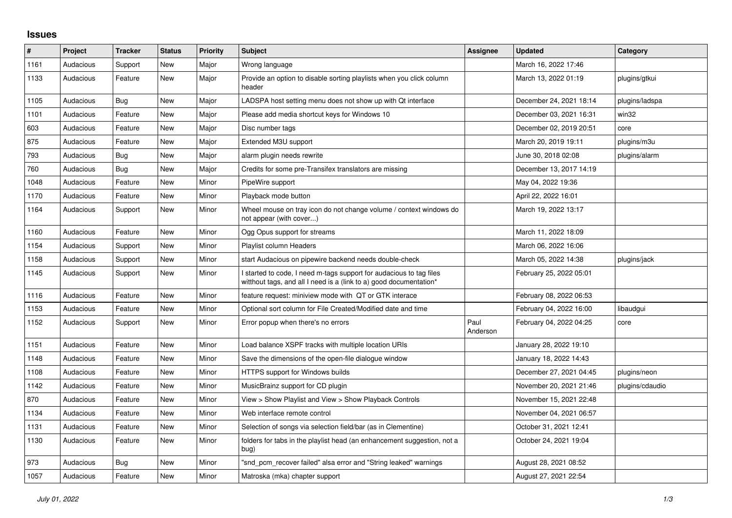## **Issues**

| #    | Project   | <b>Tracker</b> | <b>Status</b> | <b>Priority</b> | <b>Subject</b>                                                                                                                            | Assignee         | <b>Updated</b>          | Category        |
|------|-----------|----------------|---------------|-----------------|-------------------------------------------------------------------------------------------------------------------------------------------|------------------|-------------------------|-----------------|
| 1161 | Audacious | Support        | <b>New</b>    | Major           | Wrong language                                                                                                                            |                  | March 16, 2022 17:46    |                 |
| 1133 | Audacious | Feature        | New           | Major           | Provide an option to disable sorting playlists when you click column<br>header                                                            |                  | March 13, 2022 01:19    | plugins/gtkui   |
| 1105 | Audacious | Bug            | <b>New</b>    | Major           | LADSPA host setting menu does not show up with Qt interface                                                                               |                  | December 24, 2021 18:14 | plugins/ladspa  |
| 1101 | Audacious | Feature        | New           | Major           | Please add media shortcut keys for Windows 10                                                                                             |                  | December 03, 2021 16:31 | win32           |
| 603  | Audacious | Feature        | New           | Major           | Disc number tags                                                                                                                          |                  | December 02, 2019 20:51 | core            |
| 875  | Audacious | Feature        | <b>New</b>    | Major           | Extended M3U support                                                                                                                      |                  | March 20, 2019 19:11    | plugins/m3u     |
| 793  | Audacious | <b>Bug</b>     | New           | Major           | alarm plugin needs rewrite                                                                                                                |                  | June 30, 2018 02:08     | plugins/alarm   |
| 760  | Audacious | Bug            | New           | Major           | Credits for some pre-Transifex translators are missing                                                                                    |                  | December 13, 2017 14:19 |                 |
| 1048 | Audacious | Feature        | <b>New</b>    | Minor           | PipeWire support                                                                                                                          |                  | May 04, 2022 19:36      |                 |
| 1170 | Audacious | Feature        | New           | Minor           | Playback mode button                                                                                                                      |                  | April 22, 2022 16:01    |                 |
| 1164 | Audacious | Support        | New           | Minor           | Wheel mouse on tray icon do not change volume / context windows do<br>not appear (with cover)                                             |                  | March 19, 2022 13:17    |                 |
| 1160 | Audacious | Feature        | New           | Minor           | Ogg Opus support for streams                                                                                                              |                  | March 11, 2022 18:09    |                 |
| 1154 | Audacious | Support        | New           | Minor           | Playlist column Headers                                                                                                                   |                  | March 06, 2022 16:06    |                 |
| 1158 | Audacious | Support        | New           | Minor           | start Audacious on pipewire backend needs double-check                                                                                    |                  | March 05, 2022 14:38    | plugins/jack    |
| 1145 | Audacious | Support        | New           | Minor           | I started to code, I need m-tags support for audacious to tag files<br>witthout tags, and all I need is a (link to a) good documentation* |                  | February 25, 2022 05:01 |                 |
| 1116 | Audacious | Feature        | New           | Minor           | feature request: miniview mode with QT or GTK interace                                                                                    |                  | February 08, 2022 06:53 |                 |
| 1153 | Audacious | Feature        | New           | Minor           | Optional sort column for File Created/Modified date and time                                                                              |                  | February 04, 2022 16:00 | libaudgui       |
| 1152 | Audacious | Support        | New           | Minor           | Error popup when there's no errors                                                                                                        | Paul<br>Anderson | February 04, 2022 04:25 | core            |
| 1151 | Audacious | Feature        | <b>New</b>    | Minor           | Load balance XSPF tracks with multiple location URIs                                                                                      |                  | January 28, 2022 19:10  |                 |
| 1148 | Audacious | Feature        | New           | Minor           | Save the dimensions of the open-file dialogue window                                                                                      |                  | January 18, 2022 14:43  |                 |
| 1108 | Audacious | Feature        | <b>New</b>    | Minor           | HTTPS support for Windows builds                                                                                                          |                  | December 27, 2021 04:45 | plugins/neon    |
| 1142 | Audacious | Feature        | <b>New</b>    | Minor           | MusicBrainz support for CD plugin                                                                                                         |                  | November 20, 2021 21:46 | plugins/cdaudio |
| 870  | Audacious | Feature        | New           | Minor           | View > Show Playlist and View > Show Playback Controls                                                                                    |                  | November 15, 2021 22:48 |                 |
| 1134 | Audacious | Feature        | New           | Minor           | Web interface remote control                                                                                                              |                  | November 04, 2021 06:57 |                 |
| 1131 | Audacious | Feature        | New           | Minor           | Selection of songs via selection field/bar (as in Clementine)                                                                             |                  | October 31, 2021 12:41  |                 |
| 1130 | Audacious | Feature        | <b>New</b>    | Minor           | folders for tabs in the playlist head (an enhancement suggestion, not a<br>bug)                                                           |                  | October 24, 2021 19:04  |                 |
| 973  | Audacious | <b>Bug</b>     | New           | Minor           | "snd_pcm_recover failed" alsa error and "String leaked" warnings                                                                          |                  | August 28, 2021 08:52   |                 |
| 1057 | Audacious | Feature        | <b>New</b>    | Minor           | Matroska (mka) chapter support                                                                                                            |                  | August 27, 2021 22:54   |                 |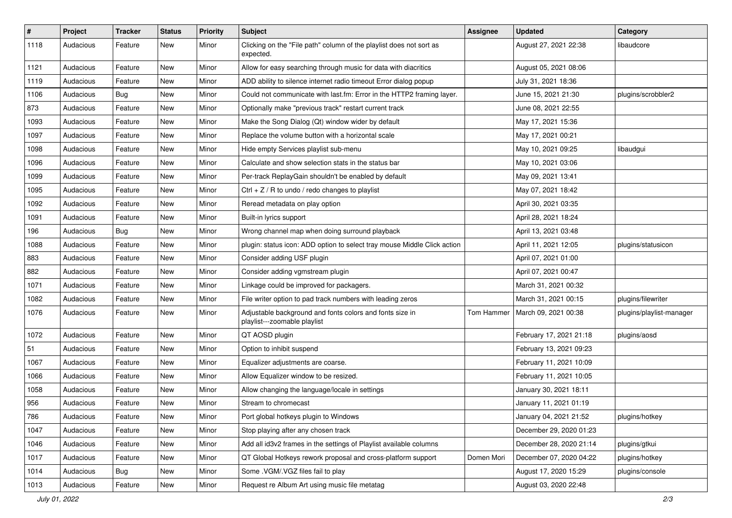| $\#$ | Project   | <b>Tracker</b> | <b>Status</b> | <b>Priority</b> | Subject                                                                                  | <b>Assignee</b> | <b>Updated</b>          | Category                 |
|------|-----------|----------------|---------------|-----------------|------------------------------------------------------------------------------------------|-----------------|-------------------------|--------------------------|
| 1118 | Audacious | Feature        | New           | Minor           | Clicking on the "File path" column of the playlist does not sort as<br>expected.         |                 | August 27, 2021 22:38   | libaudcore               |
| 1121 | Audacious | Feature        | New           | Minor           | Allow for easy searching through music for data with diacritics                          |                 | August 05, 2021 08:06   |                          |
| 1119 | Audacious | Feature        | New           | Minor           | ADD ability to silence internet radio timeout Error dialog popup                         |                 | July 31, 2021 18:36     |                          |
| 1106 | Audacious | Bug            | New           | Minor           | Could not communicate with last.fm: Error in the HTTP2 framing layer.                    |                 | June 15, 2021 21:30     | plugins/scrobbler2       |
| 873  | Audacious | Feature        | New           | Minor           | Optionally make "previous track" restart current track                                   |                 | June 08, 2021 22:55     |                          |
| 1093 | Audacious | Feature        | New           | Minor           | Make the Song Dialog (Qt) window wider by default                                        |                 | May 17, 2021 15:36      |                          |
| 1097 | Audacious | Feature        | New           | Minor           | Replace the volume button with a horizontal scale                                        |                 | May 17, 2021 00:21      |                          |
| 1098 | Audacious | Feature        | New           | Minor           | Hide empty Services playlist sub-menu                                                    |                 | May 10, 2021 09:25      | libaudgui                |
| 1096 | Audacious | Feature        | New           | Minor           | Calculate and show selection stats in the status bar                                     |                 | May 10, 2021 03:06      |                          |
| 1099 | Audacious | Feature        | New           | Minor           | Per-track ReplayGain shouldn't be enabled by default                                     |                 | May 09, 2021 13:41      |                          |
| 1095 | Audacious | Feature        | New           | Minor           | Ctrl + $Z$ / R to undo / redo changes to playlist                                        |                 | May 07, 2021 18:42      |                          |
| 1092 | Audacious | Feature        | New           | Minor           | Reread metadata on play option                                                           |                 | April 30, 2021 03:35    |                          |
| 1091 | Audacious | Feature        | New           | Minor           | Built-in lyrics support                                                                  |                 | April 28, 2021 18:24    |                          |
| 196  | Audacious | <b>Bug</b>     | New           | Minor           | Wrong channel map when doing surround playback                                           |                 | April 13, 2021 03:48    |                          |
| 1088 | Audacious | Feature        | New           | Minor           | plugin: status icon: ADD option to select tray mouse Middle Click action                 |                 | April 11, 2021 12:05    | plugins/statusicon       |
| 883  | Audacious | Feature        | New           | Minor           | Consider adding USF plugin                                                               |                 | April 07, 2021 01:00    |                          |
| 882  | Audacious | Feature        | New           | Minor           | Consider adding vgmstream plugin                                                         |                 | April 07, 2021 00:47    |                          |
| 1071 | Audacious | Feature        | New           | Minor           | Linkage could be improved for packagers.                                                 |                 | March 31, 2021 00:32    |                          |
| 1082 | Audacious | Feature        | New           | Minor           | File writer option to pad track numbers with leading zeros                               |                 | March 31, 2021 00:15    | plugins/filewriter       |
| 1076 | Audacious | Feature        | New           | Minor           | Adjustable background and fonts colors and fonts size in<br>playlist---zoomable playlist | Tom Hammer      | March 09, 2021 00:38    | plugins/playlist-manager |
| 1072 | Audacious | Feature        | New           | Minor           | QT AOSD plugin                                                                           |                 | February 17, 2021 21:18 | plugins/aosd             |
| 51   | Audacious | Feature        | New           | Minor           | Option to inhibit suspend                                                                |                 | February 13, 2021 09:23 |                          |
| 1067 | Audacious | Feature        | New           | Minor           | Equalizer adjustments are coarse.                                                        |                 | February 11, 2021 10:09 |                          |
| 1066 | Audacious | Feature        | New           | Minor           | Allow Equalizer window to be resized.                                                    |                 | February 11, 2021 10:05 |                          |
| 1058 | Audacious | Feature        | New           | Minor           | Allow changing the language/locale in settings                                           |                 | January 30, 2021 18:11  |                          |
| 956  | Audacious | Feature        | New           | Minor           | Stream to chromecast                                                                     |                 | January 11, 2021 01:19  |                          |
| 786  | Audacious | Feature        | New           | Minor           | Port global hotkeys plugin to Windows                                                    |                 | January 04, 2021 21:52  | plugins/hotkey           |
| 1047 | Audacious | Feature        | New           | Minor           | Stop playing after any chosen track                                                      |                 | December 29, 2020 01:23 |                          |
| 1046 | Audacious | Feature        | New           | Minor           | Add all id3v2 frames in the settings of Playlist available columns                       |                 | December 28, 2020 21:14 | plugins/gtkui            |
| 1017 | Audacious | Feature        | New           | Minor           | QT Global Hotkeys rework proposal and cross-platform support                             | Domen Mori      | December 07, 2020 04:22 | plugins/hotkey           |
| 1014 | Audacious | <b>Bug</b>     | New           | Minor           | Some .VGM/.VGZ files fail to play                                                        |                 | August 17, 2020 15:29   | plugins/console          |
| 1013 | Audacious | Feature        | New           | Minor           | Request re Album Art using music file metatag                                            |                 | August 03, 2020 22:48   |                          |